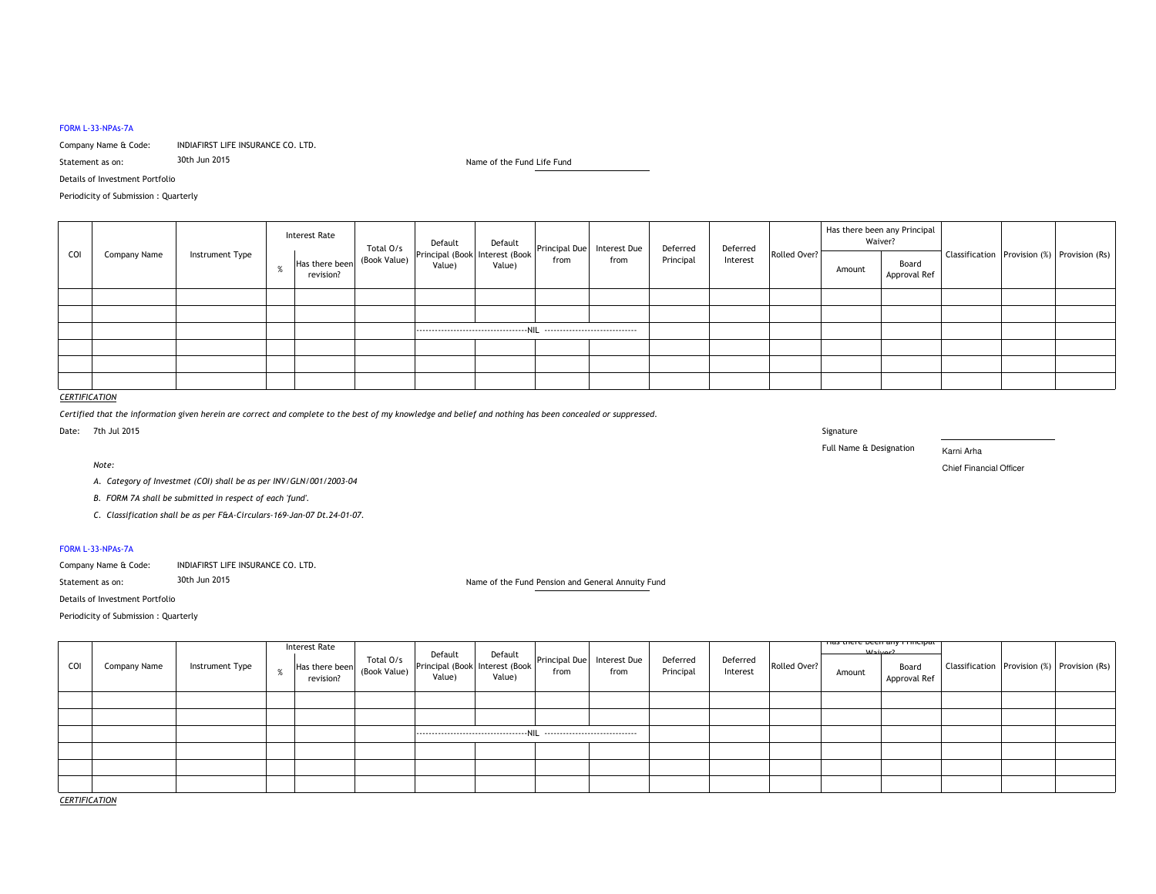#### FORM L-33-NPAs-7A

Company Name & Code: INDIAFIRST LIFE INSURANCE CO. LTD.<br>Statement as on: 30th Jun 2015

Statement as on:

30th Jun 2015 Life Fund Life Fund Life Fund Life Fund Life Fund Life Fund Life Fund Life Fund Life Fund Life Fund

Details of Investment Portfolio

Periodicity of Submission : Quarterly

| COI |              |                 | <b>Interest Rate</b> |                             | Total O/s    | Default | Default                                                                     |      |      | Deferred  | Deferred |              | Has there been any Principal<br>Waiver? |                       |                                             |  |
|-----|--------------|-----------------|----------------------|-----------------------------|--------------|---------|-----------------------------------------------------------------------------|------|------|-----------|----------|--------------|-----------------------------------------|-----------------------|---------------------------------------------|--|
|     | Company Name | Instrument Type |                      | Has there been<br>revision? | (Book Value) | Value)  | Principal (Book   Interest (Book   Principal Due   Interest Due  <br>Value) | from | from | Principal | Interest | Rolled Over? | Amount                                  | Board<br>Approval Ref | Classification Provision (%) Provision (Rs) |  |
|     |              |                 |                      |                             |              |         |                                                                             |      |      |           |          |              |                                         |                       |                                             |  |
|     |              |                 |                      |                             |              |         |                                                                             |      |      |           |          |              |                                         |                       |                                             |  |
|     |              |                 |                      |                             |              |         |                                                                             |      |      |           |          |              |                                         |                       |                                             |  |
|     |              |                 |                      |                             |              |         |                                                                             |      |      |           |          |              |                                         |                       |                                             |  |
|     |              |                 |                      |                             |              |         |                                                                             |      |      |           |          |              |                                         |                       |                                             |  |
|     |              |                 |                      |                             |              |         |                                                                             |      |      |           |          |              |                                         |                       |                                             |  |

# *CERTIFICATION*

*Certified that the information given herein are correct and complete to the best of my knowledge and belief and nothing has been concealed or suppressed.*

Date: 7th Jul 2015 signature in the state of the state of the state of the state of the state of the state of the state of the state of the state of the state of the state of the state of the state of the state of the state of the state of t

*Note:*

Full Name & Designation

Karni Arha

Chief Financial Officer Chief Financial Officer

*A. Category of Investmet (COI) shall be as per INV/GLN/001/2003-04*

*B. FORM 7A shall be submitted in respect of each 'fund'.*

*C. Classification shall be as per F&A-Circulars-169-Jan-07 Dt.24-01-07.*

#### FORM L-33-NPAs-7A

| Company Name & Code: | INDIAFIRST LIFE INSURANCE CO. LTD. |
|----------------------|------------------------------------|
|----------------------|------------------------------------|

Statement as on:30th Jun 2015 Pension and General Annuity Fund Name of the Fund Pension and General Annuity Fund

Details of Investment Portfolio

Periodicity of Submission : Quarterly

|     |              |                 |           |  |  | Has there been Total O/s Default<br>Has there been (Book Value) Principal (Book Interest (Book Principal Due Interest Due  <br>Value) |  |  | Deferred<br>Principal | Deferred<br>Interest | Rolled Over? | <del>nas there been any Principat</del><br>Mair2 |                       |  |                                             |
|-----|--------------|-----------------|-----------|--|--|---------------------------------------------------------------------------------------------------------------------------------------|--|--|-----------------------|----------------------|--------------|--------------------------------------------------|-----------------------|--|---------------------------------------------|
| COI | Company Name | Instrument Type | revision? |  |  |                                                                                                                                       |  |  |                       |                      |              | Amount                                           | Board<br>Approval Ref |  | Classification Provision (%) Provision (Rs) |
|     |              |                 |           |  |  |                                                                                                                                       |  |  |                       |                      |              |                                                  |                       |  |                                             |
|     |              |                 |           |  |  |                                                                                                                                       |  |  |                       |                      |              |                                                  |                       |  |                                             |
|     |              |                 |           |  |  |                                                                                                                                       |  |  |                       |                      |              |                                                  |                       |  |                                             |
|     |              |                 |           |  |  |                                                                                                                                       |  |  |                       |                      |              |                                                  |                       |  |                                             |
|     |              |                 |           |  |  |                                                                                                                                       |  |  |                       |                      |              |                                                  |                       |  |                                             |
|     |              |                 |           |  |  |                                                                                                                                       |  |  |                       |                      |              |                                                  |                       |  |                                             |

*CERTIFICATION*